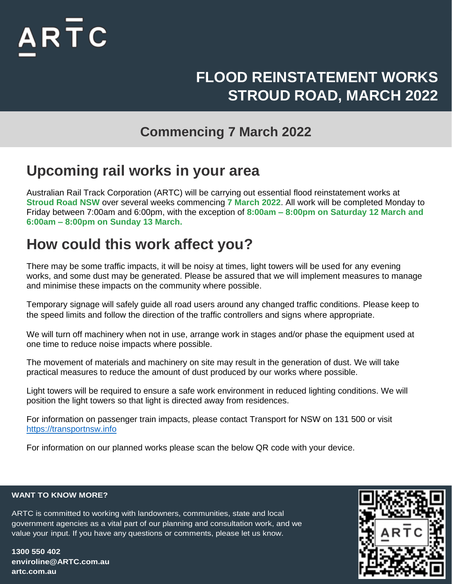

# **FLOOD REINSTATEMENT WORKS STROUD ROAD, MARCH 2022**

#### **Commencing 7 March 2022**

### **Upcoming rail works in your area**

Australian Rail Track Corporation (ARTC) will be carrying out essential flood reinstatement works at **Stroud Road NSW** over several weeks commencing **7 March 2022**. All work will be completed Monday to Friday between 7:00am and 6:00pm, with the exception of **8:00am – 8:00pm on Saturday 12 March and 6:00am – 8:00pm on Sunday 13 March.**

## **How could this work affect you?**

There may be some traffic impacts, it will be noisy at times, light towers will be used for any evening works, and some dust may be generated. Please be assured that we will implement measures to manage and minimise these impacts on the community where possible.

Temporary signage will safely guide all road users around any changed traffic conditions. Please keep to the speed limits and follow the direction of the traffic controllers and signs where appropriate.

We will turn off machinery when not in use, arrange work in stages and/or phase the equipment used at one time to reduce noise impacts where possible.

The movement of materials and machinery on site may result in the generation of dust. We will take practical measures to reduce the amount of dust produced by our works where possible.

Light towers will be required to ensure a safe work environment in reduced lighting conditions. We will position the light towers so that light is directed away from residences.

For information on passenger train impacts, please contact Transport for NSW on 131 500 or visit [https://transportnsw.info](https://transportnsw.info/)

For information on our planned works please scan the below QR code with your device.

#### **WANT TO KNOW MORE?**

government agencies as a vital part of our planning and consultation work, and we ARTC is committed to working with landowners, communities, state and local value your input. If you have any questions or comments, please let us know.

**1300 550 402 enviroline@ARTC.com.au artc.com.au**